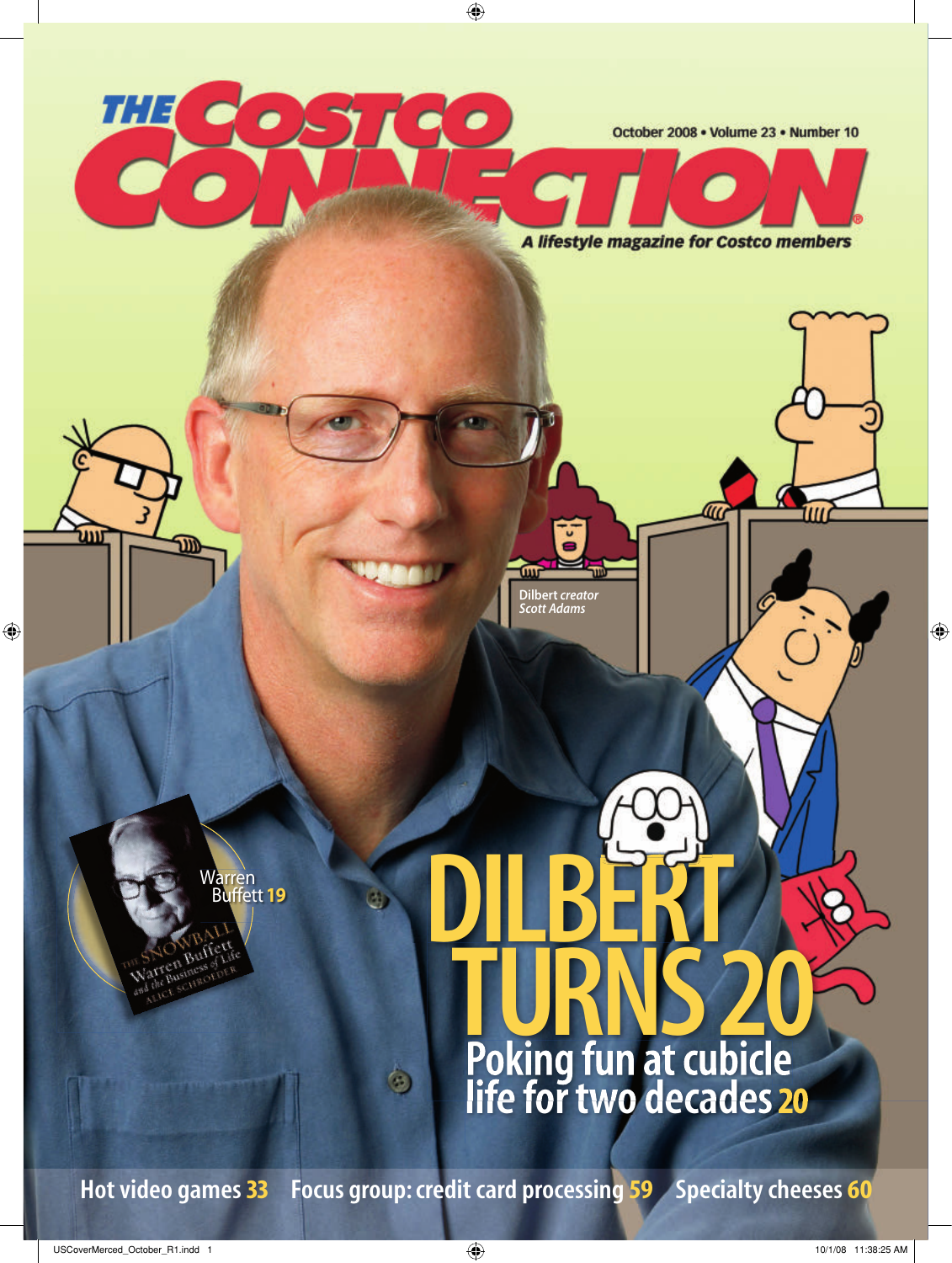

**Hot video games 33 Focus group: credit card processing 59 Specialty cheeses 60**